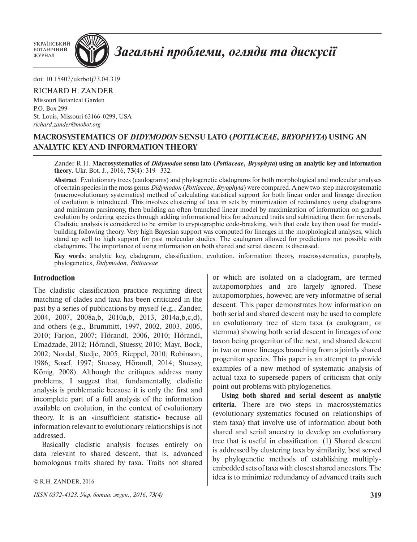УКРАЇНСЬКИЙ БОТАНІЧНИЙ<br>ЖУРНАЛ



# Загальні проблеми, огляди та дискусії

doi: 10.15407/ukrbotj73.04.319

## RICHARD H. ZANDER

Missouri Botanical Garden P.O. Box 299 St. Louis, Missouri 63166-0299, USA *richard.zander@mobot.org*

# **MACROSYSTEMATICS OF** *DIDYMODON* **SENSU LATO (***POTTIACEAE***,** *BRYOPHYTA***) USING AN ANALYTIC KEY AND INFORMATION THEORY**

## Zander R.H. **Macrosystematics of** *Didymodon* **sensu lato (***Pottiaceae***,** *Bryophyta***) using an analytic key and information theory.** Ukr. Bot. J., 2016, **73**(4): 319–332.

**Abstract**. Evolutionary trees (caulograms) and phylogenetic cladograms for both morphological and molecular analyses of certain species in the moss genus *Didymodon* (*Pottiaceae*, *Bryophyta*) were compared. A new two-step macrosystematic (macroevolutionary systematics) method of calculating statistical support for both linear order and lineage direction of evolution is introduced. This involves clustering of taxa in sets by minimization of redundancy using cladograms and minimum parsimony, then building an often-branched linear model by maximization of information on gradual evolution by ordering species through adding informational bits for advanced traits and subtracting them for reversals. Cladistic analysis is considered to be similar to cryptographic code-breaking, with that code key then used for modelbuilding following theory. Very high Bayesian support was computed for lineages in the morphological analyses, which stand up well to high support for past molecular studies. The caulogram allowed for predictions not possible with cladograms. The importance of using information on both shared and serial descent is discussed.

**Key words**: analytic key, cladogram, classification, evolution, information theory, macrosystematics, paraphyly, phylogenetics, *Didymodon*, *Pottiaceae*

## **Introduction**

The cladistic classification practice requiring direct matching of clades and taxa has been criticized in the past by a series of publications by myself (e.g., Zander, 2004, 2007, 2008a,b, 2010a,b, 2013, 2014a,b,c,d), and others (e.g., Brummitt, 1997, 2002, 2003, 2006, 2010; Farjon, 2007; Hörandl, 2006, 2010; Hörandl, Emadzade, 2012; Hörandl, Stuessy, 2010; Mayr, Bock, 2002; Nordal, Stedje, 2005; Rieppel, 2010; Robinson, 1986; Sosef, 1997; Stuessy, Hörandl, 2014; Stuessy, König, 2008). Although the critiques address many problems, I suggest that, fundamentally, cladistic analysis is problematic because it is only the first and incomplete part of a full analysis of the information available on evolution, in the context of evolutionary theory. It is an «insufficient statistic» because all information relevant to evolutionary relationships is not addressed.

Basically cladistic analysis focuses entirely on data relevant to shared descent, that is, advanced homologous traits shared by taxa. Traits not shared

© R.H. ZANDER, 2016

*ISSN 0372-4123. Укр. ботан. журн., 2016, 73(4)* **319**

or which are isolated on a cladogram, are termed autapomorphies and are largely ignored. These autapomorphies, however, are very informative of serial descent. This paper demonstrates how information on both serial and shared descent may be used to complete an evolutionary tree of stem taxa (a caulogram, or stemma) showing both serial descent in lineages of one taxon being progenitor of the next, and shared descent in two or more lineages branching from a jointly shared progenitor species. This paper is an attempt to provide examples of a new method of systematic analysis of actual taxa to supersede papers of criticism that only point out problems with phylogenetics.

**Using both shared and serial descent as analytic criteria.** There are two steps in macrosystematics (evolutionary systematics focused on relationships of stem taxa) that involve use of information about both shared and serial ancestry to develop an evolutionary tree that is useful in classification. (1) Shared descent is addressed by clustering taxa by similarity, best served by phylogenetic methods of establishing multiplyembedded sets of taxa with closest shared ancestors. The idea is to minimize redundancy of advanced traits such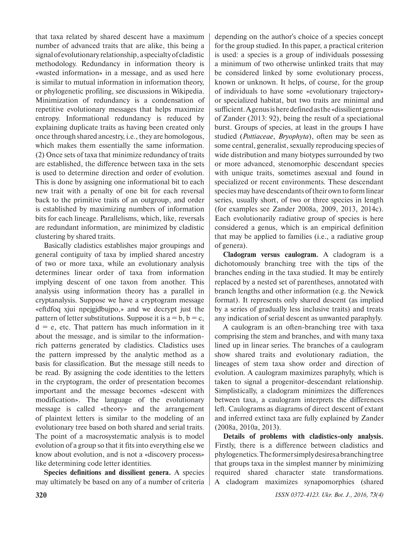that taxa related by shared descent have a maximum number of advanced traits that are alike, this being a signal of evolutionary relationship, a specialty of cladistic methodology. Redundancy in information theory is «wasted information» in a message, and as used here is similar to mutual information in information theory, or phylogenetic profiling, see discussions in Wikipedia. Minimization of redundancy is a condensation of repetitive evolutionary messages that helps maximize entropy. Informational redundancy is reduced by explaining duplicate traits as having been created only once through shared ancestry, i.e., they are homologous, which makes them essentially the same information. (2) Once sets of taxa that minimize redundancy of traits are established, the difference between taxa in the sets is used to determine direction and order of evolution. This is done by assigning one informational bit to each new trait with a penalty of one bit for each reversal back to the primitive traits of an outgroup, and order is established by maximizing numbers of information bits for each lineage. Parallelisms, which, like, reversals are redundant information, are minimized by cladistic clustering by shared traits.

Basically cladistics establishes major groupings and general contiguity of taxa by implied shared ancestry of two or more taxa, while an evolutionary analysis determines linear order of taxa from information implying descent of one taxon from another. This analysis using information theory has a parallel in cryptanalysis. Suppose we have a cryptogram message «eftdfoq xjui npejgjdbujpo,» and we decrypt just the pattern of letter substitutions. Suppose it is  $a = b$ ,  $b = c$ ,  $d = e$ , etc. That pattern has much information in it about the message, and is similar to the informationrich patterns generated by cladistics. Cladistics uses the pattern impressed by the analytic method as a basis for classification. But the message still needs to be read. By assigning the code identities to the letters in the cryptogram, the order of presentation becomes important and the message becomes «descent with modification». The language of the evolutionary message is called «theory» and the arrangement of plaintext letters is similar to the modeling of an evolutionary tree based on both shared and serial traits. The point of a macrosystematic analysis is to model evolution of a group so that it fits into everything else we know about evolution, and is not a «discovery process» like determining code letter identities.

**Species definitions and dissilient genera.** A species may ultimately be based on any of a number of criteria depending on the author's choice of a species concept for the group studied. In this paper, a practical criterion is used: a species is a group of individuals possessing a minimum of two otherwise unlinked traits that may be considered linked by some evolutionary process, known or unknown. It helps, of course, for the group of individuals to have some «evolutionary trajectory» or specialized habitat, but two traits are minimal and sufficient. A genus is here defined as the «dissilient genus» of Zander (2013: 92), being the result of a speciational burst. Groups of species, at least in the groups I have studied (*Pottiaceae*, *Bryophyta*), often may be seen as some central, generalist, sexually reproducing species of wide distribution and many biotypes surrounded by two or more advanced, stenomorphic descendant species with unique traits, sometimes asexual and found in specialized or recent environments. These descendant species may have descendants of their own to form linear series, usually short, of two or three species in length (for examples see Zander 2008a, 2009, 2013, 2014c). Each evolutionarily radiative group of species is here considered a genus, which is an empirical definition that may be applied to families (i.e., a radiative group of genera).

**Cladogram versus caulogram.** A cladogram is a dichotomously branching tree with the tips of the branches ending in the taxa studied. It may be entirely replaced by a nested set of parentheses, annotated with branch lengths and other information (e.g. the Newick format). It represents only shared descent (as implied by a series of gradually less inclusive traits) and treats any indication of serial descent as unwanted paraphyly.

A caulogram is an often-branching tree with taxa comprising the stem and branches, and with many taxa lined up in linear series. The branches of a caulogram show shared traits and evolutionary radiation, the lineages of stem taxa show order and direction of evolution. A caulogram maximizes paraphyly, which is taken to signal a progenitor-descendant relationship. Simplistically, a cladogram minimizes the differences between taxa, a caulogram interprets the differences left. Caulograms as diagrams of direct descent of extant and inferred extinct taxa are fully explained by Zander (2008a, 2010a, 2013).

**Details of problems with cladistics-only analysis.**  Firstly, there is a difference between cladistics and phylogenetics. The former simply desires a branching tree that groups taxa in the simplest manner by minimizing required shared character state transformations. A cladogram maximizes synapomorphies (shared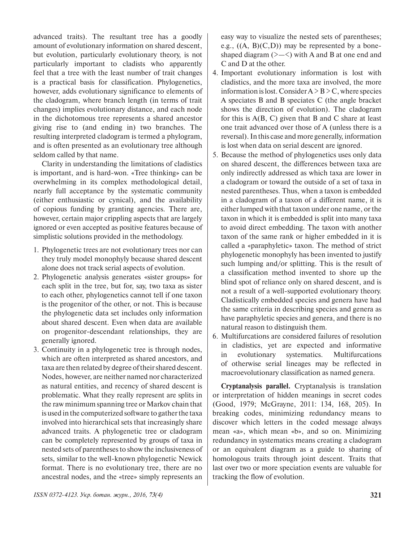advanced traits). The resultant tree has a goodly amount of evolutionary information on shared descent, but evolution, particularly evolutionary theory, is not particularly important to cladists who apparently feel that a tree with the least number of trait changes is a practical basis for classification. Phylogenetics, however, adds evolutionary significance to elements of the cladogram, where branch length (in terms of trait changes) implies evolutionary distance, and each node in the dichotomous tree represents a shared ancestor giving rise to (and ending in) two branches. The resulting interpreted cladogram is termed a phylogram, and is often presented as an evolutionary tree although seldom called by that name.

Clarity in understanding the limitations of cladistics is important, and is hard-won. «Tree thinking» can be overwhelming in its complex methodological detail, nearly full acceptance by the systematic community (either enthusiastic or cynical), and the availability of copious funding by granting agencies. There are, however, certain major crippling aspects that are largely ignored or even accepted as positive features because of simplistic solutions provided in the methodology.

- 1. Phylogenetic trees are not evolutionary trees nor can they truly model monophyly because shared descent alone does not track serial aspects of evolution.
- 2. Phylogenetic analysis generates «sister groups» for each split in the tree, but for, say, two taxa as sister to each other, phylogenetics cannot tell if one taxon is the progenitor of the other, or not. This is because the phylogenetic data set includes only information about shared descent. Even when data are available on progenitor-descendant relationships, they are generally ignored.
- 3. Continuity in a phylogenetic tree is through nodes, which are often interpreted as shared ancestors, and taxa are then related by degree of their shared descent. Nodes, however, are neither named nor characterized as natural entities, and recency of shared descent is problematic. What they really represent are splits in the raw minimum spanning tree or Markov chain that is used in the computerized software to gather the taxa involved into hierarchical sets that increasingly share advanced traits. A phylogenetic tree or cladogram can be completely represented by groups of taxa in nested sets of parentheses to show the inclusiveness of sets, similar to the well-known phylogenetic Newick format. There is no evolutionary tree, there are no ancestral nodes, and the «tree» simply represents an

easy way to visualize the nested sets of parentheses; e.g.,  $((A, B)(C, D))$  may be represented by a boneshaped diagram  $(\geq -\leq)$  with A and B at one end and C and D at the other.

- 4. Important evolutionary information is lost with cladistics, and the more taxa are involved, the more information is lost. Consider  $A > B > C$ , where species A speciates B and B speciates C (the angle bracket shows the direction of evolution). The cladogram for this is  $A(B, C)$  given that B and C share at least one trait advanced over those of A (unless there is a reversal). In this case and more generally, information is lost when data on serial descent are ignored.
- 5. Because the method of phylogenetics uses only data on shared descent, the differences between taxa are only indirectly addressed as which taxa are lower in a cladogram or toward the outside of a set of taxa in nested parentheses. Thus, when a taxon is embedded in a cladogram of a taxon of a different name, it is either lumped with that taxon under one name, or the taxon in which it is embedded is split into many taxa to avoid direct embedding. The taxon with another taxon of the same rank or higher embedded in it is called a «paraphyletic» taxon. The method of strict phylogenetic monophyly has been invented to justify such lumping and/or splitting. This is the result of a classification method invented to shore up the blind spot of reliance only on shared descent, and is not a result of a well-supported evolutionary theory. Cladistically embedded species and genera have had the same criteria in describing species and genera as have paraphyletic species and genera, and there is no natural reason to distinguish them.
- 6. Multifurcations are considered failures of resolution in cladistics, yet are expected and informative in evolutionary systematics. Multifurcations of otherwise serial lineages may be reflected in macroevolutionary classification as named genera.

**Cryptanalysis parallel.** Cryptanalysis is translation or interpretation of hidden meanings in secret codes (Good, 1979; McGrayne, 2011: 134, 168, 205). In breaking codes, minimizing redundancy means to discover which letters in the coded message always mean «a», which mean «b», and so on. Minimizing redundancy in systematics means creating a cladogram or an equivalent diagram as a guide to sharing of homologous traits through joint descent. Traits that last over two or more speciation events are valuable for tracking the flow of evolution.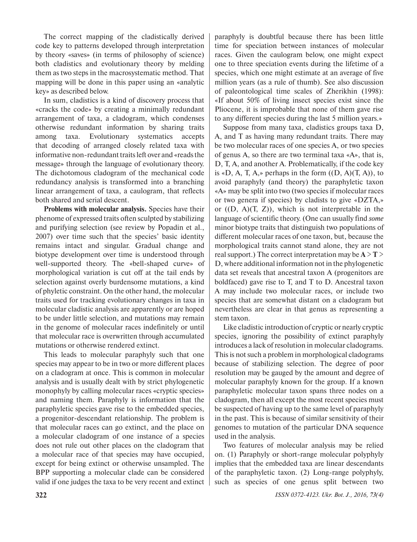The correct mapping of the cladistically derived code key to patterns developed through interpretation by theory «saves» (in terms of philosophy of science) both cladistics and evolutionary theory by melding them as two steps in the macrosystematic method. That mapping will be done in this paper using an «analytic key» as described below.

In sum, cladistics is a kind of discovery process that «cracks the code» by creating a minimally redundant arrangement of taxa, a cladogram, which condenses otherwise redundant information by sharing traits among taxa. Evolutionary systematics accepts that decoding of arranged closely related taxa with informative non-redundant traits left over and «reads the message» through the language of evolutionary theory. The dichotomous cladogram of the mechanical code redundancy analysis is transformed into a branching linear arrangement of taxa, a caulogram, that reflects both shared and serial descent.

**Problems with molecular analysis.** Species have their phenome of expressed traits often sculpted by stabilizing and purifying selection (see review by Popadin et al., 2007) over time such that the species' basic identity remains intact and singular. Gradual change and biotype development over time is understood through well-supported theory. The «bell-shaped curve» of morphological variation is cut off at the tail ends by selection against overly burdensome mutations, a kind of phyletic constraint. On the other hand, the molecular traits used for tracking evolutionary changes in taxa in molecular cladistic analysis are apparently or are hoped to be under little selection, and mutations may remain in the genome of molecular races indefinitely or until that molecular race is overwritten through accumulated mutations or otherwise rendered extinct.

This leads to molecular paraphyly such that one species may appear to be in two or more different places on a cladogram at once. This is common in molecular analysis and is usually dealt with by strict phylogenetic monophyly by calling molecular races «cryptic species» and naming them. Paraphyly is information that the paraphyletic species gave rise to the embedded species, a progenitor-descendant relationship. The problem is that molecular races can go extinct, and the place on a molecular cladogram of one instance of a species does not rule out other places on the cladogram that a molecular race of that species may have occupied, except for being extinct or otherwise unsampled. The BPP supporting a molecular clade can be considered valid if one judges the taxa to be very recent and extinct paraphyly is doubtful because there has been little time for speciation between instances of molecular races. Given the caulogram below, one might expect one to three speciation events during the lifetime of a species, which one might estimate at an average of five million years (as a rule of thumb). See also discussion of paleontological time scales of Zherikhin (1998): «If about 50% of living insect species exist since the Pliocene, it is improbable that none of them gave rise to any different species during the last 5 million years.»

Suppose from many taxa, cladistics groups taxa D, A, and T as having many redundant traits. There may be two molecular races of one species A, or two species of genus A, so there are two terminal taxa «A», that is, D, T, A, and another A. Problematically, if the code key is «D, A, T, A,» perhaps in the form  $((D, A)(T, A))$ , to avoid paraphyly (and theory) the paraphyletic taxon «A» may be split into two (two species if molecular races or two genera if species) by cladists to give «DZTA,» or  $((D, A)(T, Z))$ , which is not interpretable in the language of scientific theory. (One can usually find *some*  minor biotype traits that distinguish two populations of different molecular races of one taxon, but, because the morphological traits cannot stand alone, they are not real support.) The correct interpretation may be  $A > T$ D, where additional information not in the phylogenetic data set reveals that ancestral taxon A (progenitors are boldfaced) gave rise to T, and T to D. Ancestral taxon A may include two molecular races, or include two species that are somewhat distant on a cladogram but nevertheless are clear in that genus as representing a stem taxon.

Like cladistic introduction of cryptic or nearly cryptic species, ignoring the possibility of extinct paraphyly introduces a lack of resolution in molecular cladograms. This is not such a problem in morphological cladograms because of stabilizing selection. The degree of poor resolution may be gauged by the amount and degree of molecular paraphyly known for the group. If a known paraphyletic molecular taxon spans three nodes on a cladogram, then all except the most recent species must be suspected of having up to the same level of paraphyly in the past. This is because of similar sensitivity of their genomes to mutation of the particular DNA sequence used in the analysis.

Two features of molecular analysis may be relied on. (1) Paraphyly or short-range molecular polyphyly implies that the embedded taxa are linear descendants of the paraphyletic taxon. (2) Long-range polyphyly, such as species of one genus split between two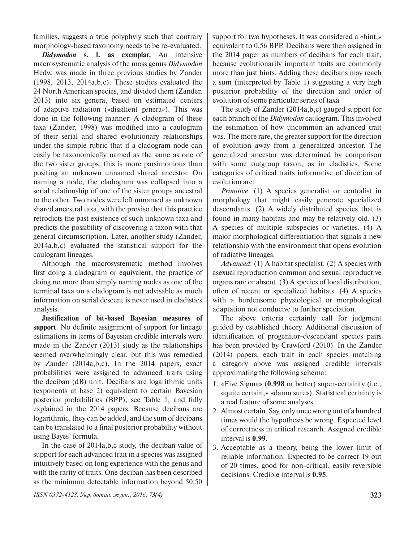families, suggests a true polyphyly such that contrary morphology-based taxonomy needs to be re-evaluated.

*Didymodon* **s. l. as exemplar.** An intensive macrosystematic analysis of the moss genus *Didymodon*  Hedw. was made in three previous studies by Zander (1998, 2013, 2014a,b,c). These studies evaluated the 24 North American species, and divided them (Zander, 2013) into six genera, based on estimated centers of adaptive radiation («dissilient genera»). This was done in the following manner: A cladogram of these taxa (Zander, 1998) was modified into a caulogram of their serial and shared evolutionary relationships under the simple rubric that if a cladogram node can easily be taxonomically named as the same as one of the two sister groups, this is more parsimonious than positing an unknown unnamed shared ancestor. On naming a node, the cladogram was collapsed into a serial relationship of one of the sister groups ancestral to the other. Two nodes were left unnamed as unknown shared ancestral taxa, with the proviso that this practice retrodicts the past existence of such unknown taxa and predicts the possibility of discovering a taxon with that general circumscription. Later, another study (Zander, 2014a,b,c) evaluated the statistical support for the caulogram lineages.

Although the macrosystematic method involves first doing a cladogram or equivalent, the practice of doing no more than simply naming nodes as one of the terminal taxa on a cladogram is not advisable as much information on serial descent is never used in cladistics analysis.

**Justification of bit-based Bayesian measures of support**. No definite assignment of support for lineage estimations in terms of Bayesian credible intervals were made in the Zander (2013) study as the relationships seemed overwhelmingly clear, but this was remedied by Zander (2014a,b,c). In the 2014 papers, exact probabilities were assigned to advanced traits using the deciban (dB) unit. Decibans are logarithmic units (exponents at base 2) equivalent to certain Bayesian posterior probabilities (BPP), see Table 1, and fully explained in the 2014 papers. Because decibans are logarithmic, they can be added, and the sum of decibans can be translated to a final posterior probability without using Bayes' formula.

In the case of 2014a,b,c study, the deciban value of support for each advanced trait in a species was assigned intuitively based on long experience with the genus and with the rarity of traits. One deciban has been described as the minimum detectable information beyond 50:50 support for two hypotheses. It was considered a «hint,» equivalent to 0.56 BPP. Decibans were then assigned in the 2014 paper as numbers of decibans for each trait, because evolutionarily important traits are commonly more than just hints. Adding these decibans may reach a sum (interpreted by Table 1) suggesting a very high posterior probability of the direction and order of evolution of some particular series of taxa

The study of Zander (2014a,b,c) gauged support for each branch of the *Didymodon* caulogram. This involved the estimation of how uncommon an advanced trait was. The more rare, the greater support for the direction of evolution away from a generalized ancestor. The generalized ancestor was determined by comparison with some outgroup taxon, as in cladistics. Some categories of critical traits informative of direction of evolution are:

*Primitive*: (1) A species generalist or centralist in morphology that might easily generate specialized descendants. (2) A widely distributed species that is found in many habitats and may be relatively old. (3) A species of multiple subspecies or varieties. (4) A major morphological differentiation that signals a new relationship with the environment that opens evolution of radiative lineages.

*Advanced*: (1) A habitat specialist. (2) A species with asexual reproduction common and sexual reproductive organs rare or absent. (3) A species of local distribution, often of recent or specialized habitats. (4) A species with a burdensome physiological or morphological adaptation not conducive to further speciation.

The above criteria certainly call for judgment guided by established theory. Additional discussion of identification of progenitor-descendant species pairs has been provided by Crawford (2010). In the Zander (2014) papers, each trait in each species matching a category above was assigned credible intervals approximating the following schema:

- 1. «Five Sigma» (**0.998** or better) super-certainty (i.e., «quite certain,» «damn sure»). Statistical certainty is a real feature of some analyses.
- 2. Almost certain. Say, only once wrong out of a hundred times would the hypothesis be wrong. Expected level of correctness in critical research. Assigned credible interval is **0.99**.
- 3. Acceptable as a theory, being the lower limit of reliable information. Expected to be correct 19 out of 20 times, good for non-critical, easily reversible decisions. Credible interval is **0.95**.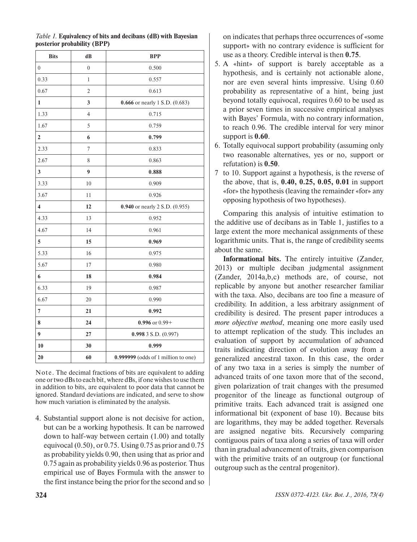| <b>Bits</b>      | dB               | <b>BPP</b>                            |  |
|------------------|------------------|---------------------------------------|--|
| $\boldsymbol{0}$ | $\boldsymbol{0}$ | 0.500                                 |  |
| 0.33             | $\mathbf{1}$     | 0.557                                 |  |
| 0.67             | $\overline{2}$   | 0.613                                 |  |
| 1                | 3                | <b>0.666</b> or nearly 1 S.D. (0.683) |  |
| 1.33             | $\overline{4}$   | 0.715                                 |  |
| 1.67             | 5                | 0.759                                 |  |
| $\overline{2}$   | 6                | 0.799                                 |  |
| 2.33             | 7                | 0.833                                 |  |
| 2.67             | 8                | 0.863                                 |  |
| 3                | $\boldsymbol{9}$ | 0.888                                 |  |
| 3.33             | 10               | 0.909                                 |  |
| 3.67             | 11               | 0.926                                 |  |
| 4                | 12               | 0.940 or nearly 2 S.D. (0.955)        |  |
| 4.33             | 13               | 0.952                                 |  |
| 4.67             | 14               | 0.961                                 |  |
| 5                | 15               | 0.969                                 |  |
| 5.33             | 16               | 0.975                                 |  |
| 5.67             | 17               | 0.980                                 |  |
| 6                | 18               | 0.984                                 |  |
| 6.33             | 19               | 0.987                                 |  |
| 6.67             | 20               | 0.990                                 |  |
| $\overline{7}$   | 21               | 0.992                                 |  |
| 8                | 24               | $0.996$ or $0.99+$                    |  |
| 9                | 27               | $0.9983$ S.D. $(0.997)$               |  |
| 10               | 30               | 0.999                                 |  |
| 20               | 60               | 0.999999 (odds of 1 million to one)   |  |

*Table 1.* **Equivalency of bits and decibans (dB) with Bayesian posterior probability (BPP)**

Note. The decimal fractions of bits are equivalent to adding one or two dBs to each bit, where dBs, if one wishes to use them in addition to bits, are equivalent to poor data that cannot be ignored. Standard deviations are indicated, and serve to show how much variation is eliminated by the analysis.

4. Substantial support alone is not decisive for action, but can be a working hypothesis. It can be narrowed down to half-way between certain (1.00) and totally equivocal (0.50), or 0.75. Using 0.75 as prior and 0.75 as probability yields 0.90, then using that as prior and 0.75 again as probability yields 0.96 as posterior. Thus empirical use of Bayes Formula with the answer to the first instance being the prior for the second and so

on indicates that perhaps three occurrences of «some support» with no contrary evidence is sufficient for use as a theory. Credible interval is then **0.75**.

- 5. A «hint» of support is barely acceptable as a hypothesis, and is certainly not actionable alone, nor are even several hints impressive. Using 0.60 probability as representative of a hint, being just beyond totally equivocal, requires 0.60 to be used as a prior seven times in successive empirical analyses with Bayes' Formula, with no contrary information, to reach 0.96. The credible interval for very minor support is **0.60**.
- 6. Totally equivocal support probability (assuming only two reasonable alternatives, yes or no, support or refutation) is **0.50**.
- 7 to 10. Support against a hypothesis, is the reverse of the above, that is, **0.40, 0.25, 0.05, 0.01** in support «for» the hypothesis (leaving the remainder «for» any opposing hypothesis of two hypotheses).

Comparing this analysis of intuitive estimation to the additive use of decibans as in Table 1, justifies to a large extent the more mechanical assignments of these logarithmic units. That is, the range of credibility seems about the same.

**Informational bits.** The entirely intuitive (Zander, 2013) or multiple deciban judgmental assignment (Zander, 2014a,b,c) methods are, of course, not replicable by anyone but another researcher familiar with the taxa. Also, decibans are too fine a measure of credibility. In addition, a less arbitrary assignment of credibility is desired. The present paper introduces a *more objective method*, meaning one more easily used to attempt replication of the study. This includes an evaluation of support by accumulation of advanced traits indicating direction of evolution away from a generalized ancestral taxon. In this case, the order of any two taxa in a series is simply the number of advanced traits of one taxon more that of the second, given polarization of trait changes with the presumed progenitor of the lineage as functional outgroup of primitive traits. Each advanced trait is assigned one informational bit (exponent of base 10). Because bits are logarithms, they may be added together. Reversals are assigned negative bits. Recursively comparing contiguous pairs of taxa along a series of taxa will order than in gradual advancement of traits, given comparison with the primitive traits of an outgroup (or functional outgroup such as the central progenitor).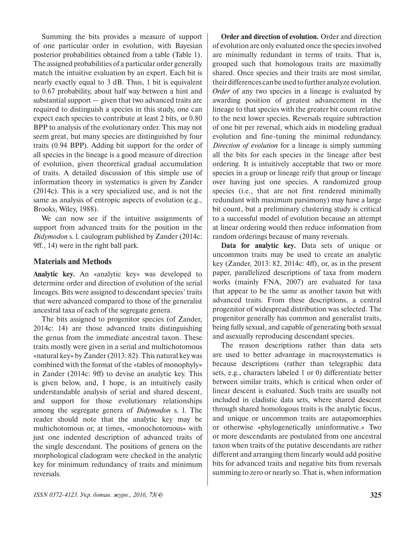Summing the bits provides a measure of support of one particular order in evolution, with Bayesian posterior probabilities obtained from a table (Table 1). The assigned probabilities of a particular order generally match the intuitive evaluation by an expert. Each bit is nearly exactly equal to 3 dB. Thus, 1 bit is equivalent to 0.67 probability, about half way between a hint and substantial support — given that two advanced traits are required to distinguish a species in this study, one can expect each species to contribute at least 2 bits, or 0.80 BPP to analysis of the evolutionary order. This may not seem great, but many species are distinguished by four traits (0.94 BPP). Adding bit support for the order of all species in the lineage is a good measure of direction of evolution, given theoretical gradual accumulation of traits. A detailed discussion of this simple use of information theory in systematics is given by Zander (2014c). This is a very specialized use, and is not the same as analysis of entropic aspects of evolution (e.g., Brooks, Wiley, 1988).

We can now see if the intuitive assignments of support from advanced traits for the position in the *Didymodon* s. l. caulogram published by Zander (2014c: 9ff., 14) were in the right ball park.

## **Materials and Methods**

**Analytic key.** An «analytic key» was developed to determine order and direction of evolution of the serial lineages. Bits were assigned to descendant species' traits that were advanced compared to those of the generalist ancestral taxa of each of the segregate genera.

The bits assigned to progenitor species (of Zander, 2014c: 14) are those advanced traits distinguishing the genus from the immediate ancestral taxon. These traits mostly were given in a serial and multichotomous «natural key» by Zander (2013: 82). This natural key was combined with the format of the «tables of monophyly» in Zander (2014c: 9ff) to devise an analytic key. This is given below, and, I hope, is an intuitively easily understandable analysis of serial and shared descent, and support for those evolutionary relationships among the segregate genera of *Didymodon* s. l. The reader should note that the analytic key may be multichotomous or, at times, «monochotomous» with just one indented description of advanced traits of the single descendant. The positions of genera on the morphological cladogram were checked in the analytic key for minimum redundancy of traits and minimum reversals.

**Order and direction of evolution.** Order and direction of evolution are only evaluated once the species involved are minimally redundant in terms of traits. That is, grouped such that homologous traits are maximally shared. Once species and their traits are most similar, their differences can be used to further analyze evolution. *Order* of any two species in a lineage is evaluated by awarding position of greatest advancement in the lineage to that species with the greater bit count relative to the next lower species. Reversals require subtraction of one bit per reversal, which aids in modeling gradual evolution and fine-tuning the minimal redundancy. *Direction of evolution* for a lineage is simply summing all the bits for each species in the lineage after best ordering. It is intuitively acceptable that two or more species in a group or lineage reify that group or lineage over having just one species. A randomized group species (i.e., that are not first rendered minimally redundant with maximum parsimony) may have a large bit count, but a preliminary clustering study is critical to a successful model of evolution because an attempt at linear ordering would then reduce information from random orderings because of many reversals.

**Data for analytic key.** Data sets of unique or uncommon traits may be used to create an analytic key (Zander, 2013: 82, 2014c: 4ff), or, as in the present paper, parallelized descriptions of taxa from modern works (mainly FNA, 2007) are evaluated for taxa that appear to be the same as another taxon but with advanced traits. From these descriptions, a central progenitor of widespread distribution was selected. The progenitor generally has common and generalist traits, being fully sexual, and capable of generating both sexual and asexually reproducing descendant species.

The reason descriptions rather than data sets are used to better advantage in macrosystematics is because descriptions (rather than telegraphic data sets, e.g., characters labeled 1 or 0) differentiate better between similar traits, which is critical when order of linear descent is evaluated. Such traits are usually not included in cladistic data sets, where shared descent through shared homologous traits is the analytic focus, and unique or uncommon traits are autapomorphies or otherwise «phylogenetically uninformative.» Two or more descendants are postulated from one ancestral taxon when traits of the putative descendants are rather different and arranging them linearly would add positive bits for advanced traits and negative bits from reversals summing to zero or nearly so. That is, when information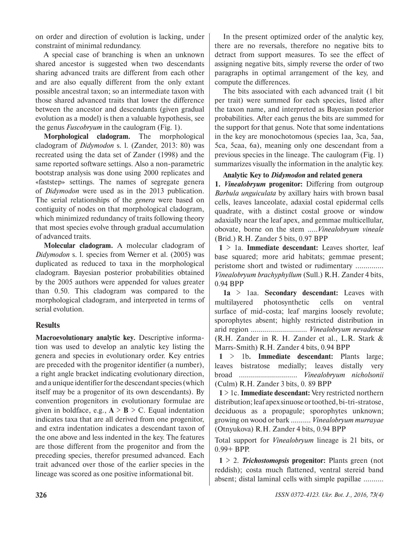on order and direction of evolution is lacking, under constraint of minimal redundancy.

A special case of branching is when an unknown shared ancestor is suggested when two descendants sharing advanced traits are different from each other and are also equally different from the only extant possible ancestral taxon; so an intermediate taxon with those shared advanced traits that lower the difference between the ancestor and descendants (given gradual evolution as a model) is then a valuable hypothesis, see the genus *Fuscobryum* in the caulogram (Fig. 1).

**Morphological cladogram.** The morphological cladogram of *Didymodon* s. l. (Zander, 2013: 80) was recreated using the data set of Zander (1998) and the same reported software settings. Also a non-parametric bootstrap analysis was done using 2000 replicates and «faststep» settings. The names of segregate genera of *Didymodon* were used as in the 2013 publication. The serial relationships of the *genera* were based on contiguity of nodes on that morphological cladogram, which minimized redundancy of traits following theory that most species evolve through gradual accumulation of advanced traits.

**Molecular cladogram.** A molecular cladogram of *Didymodon* s. l. species from Werner et al. (2005) was duplicated as reduced to taxa in the morphological cladogram. Bayesian posterior probabilities obtained by the 2005 authors were appended for values greater than 0.50. This cladogram was compared to the morphological cladogram, and interpreted in terms of serial evolution.

# **Results**

**Macroevolutionary analytic key.** Descriptive information was used to develop an analytic key listing the genera and species in evolutionary order. Key entries are preceded with the progenitor identifier (a number), a right angle bracket indicating evolutionary direction, and a unique identifier for the descendant species (which itself may be a progenitor of its own descendants). By convention progenitors in evolutionary formulae are given in boldface, e.g.,  $A > B > C$ . Equal indentation indicates taxa that are all derived from one progenitor, and extra indentation indicates a descendant taxon of the one above and less indented in the key. The features are those different from the progenitor and from the preceding species, therefor presumed advanced. Each trait advanced over those of the earlier species in the lineage was scored as one positive informational bit.

In the present optimized order of the analytic key, there are no reversals, therefore no negative bits to detract from support measures. To see the effect of assigning negative bits, simply reverse the order of two paragraphs in optimal arrangement of the key, and compute the differences.

The bits associated with each advanced trait (1 bit per trait) were summed for each species, listed after the taxon name, and interpreted as Bayesian posterior probabilities. After each genus the bits are summed for the support for that genus. Note that some indentations in the key are monochotomous (species 1aa, 3ca, 5aa, 5ca, 5caa, 6a), meaning only one descendant from a previous species in the lineage. The caulogram (Fig. 1) summarizes visually the information in the analytic key.

**Analytic Key to** *Didymodon* **and related genera**

**1.** *Vinealobryum* **progenitor:** Differing from outgroup *Barbula unguiculata* by axillary hairs with brown basal cells, leaves lanceolate, adaxial costal epidermal cells quadrate, with a distinct costal groove or window adaxially near the leaf apex, and gemmae multicellular, obovate, borne on the stem .....*Vinealobryum vineale*  (Brid.) R.H. Zander 5 bits, 0.97 BPP

**1** > 1a. **Immediate descendant:** Leaves shorter, leaf base squared; more arid habitats; gemmae present; peristome short and twisted or rudimentary .............. *Vinealobryum brachyphyllum* (Sull.) R.H. Zander 4 bits, 0.94 BPP

**1a** > 1aa. **Secondary descendant:** Leaves with multilayered photosynthetic cells on ventral surface of mid-costa; leaf margins loosely revolute; sporophytes absent; highly restricted distribution in arid region ............................ *Vinealobryum nevadense*  (R.H. Zander in R. H. Zander et al., L.R. Stark & Marrs-Smith) R.H. Zander 4 bits, 0.94 BPP

**1** > 1b**. Immediate descendant:** Plants large; leaves bistratose medially; leaves distally very broad ............................. *Vinealobryum nicholsonii* (Culm) R.H. Zander 3 bits, 0. 89 BPP

**1** > 1c. **Immediate descendant:** Very restricted northern distribution; leaf apex sinuose or toothed, bi-tri-stratose, deciduous as a propagule; sporophytes unknown; growing on wood or bark .......... *Vinealobryum murrayae* (Otnyukova) R.H. Zander 4 bits, 0.94 BPP

Total support for *Vinealobryum* lineage is 21 bits, or 0.99+ BPP.

**1** > 2. *Trichostomopsis* **progenitor:** Plants green (not reddish); costa much flattened, ventral stereid band absent; distal laminal cells with simple papillae ..........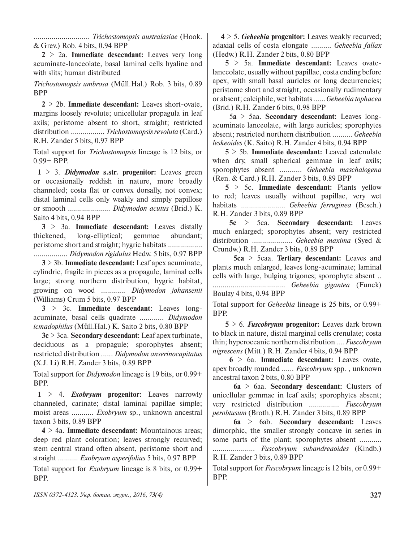............................ *Trichostomopsis australasiae* (Hook. & Grev.) Rob. 4 bits, 0.94 BPP

**2** > 2a. **Immediate descendant:** Leaves very long acuminate-lanceolate, basal laminal cells hyaline and with slits; human distributed

*Trichostomopsis umbrosa* (Müll.Hal.) Rob. 3 bits, 0.89 BPP

**2** > 2b. **Immediate descendant:** Leaves short-ovate, margins loosely revolute; unicellular propagula in leaf axils; peristome absent to short, straight; restricted distribution ................. *Trichostomopsis revoluta* (Card.) R.H. Zander 5 bits, 0.97 BPP

Total support for *Trichostomopsis* lineage is 12 bits, or 0.99+ BPP.

**1** > 3. *Didymodon* **s.str. progenitor:** Leaves green or occasionally reddish in nature, more broadly channeled; costa flat or convex dorsally, not convex; distal laminal cells only weakly and simply papillose or smooth ..................... *Didymodon acutus* (Brid.) K. Saito 4 bits, 0.94 BPP

**3** > 3a. **Immediate descendant:** Leaves distally thickened, long-elliptical; gemmae abundant; peristome short and straight; hygric habitats ................. ................. *Didymodon rigidulus* Hedw. 5 bits, 0.97 BPP

**3** > 3b. **Immediate descendant:** Leaf apex acuminate, cylindric, fragile in pieces as a propagule, laminal cells large; strong northern distribution, hygric habitat, growing on wood ............ *Didymodon johansenii*  (Williams) Crum 5 bits, 0.97 BPP

**3** > 3c. **Immediate descendant:** Leaves longacuminate, basal cells quadrate ............ *Didymodon icmadophilus* (Müll.Hal.) K. Saito 2 bits, 0.80 BPP

**3c** > 3ca. **Secondary descendant:** Leaf apex turbinate, deciduous as a propagule; sporophytes absent; restricted distribution ...... *Didymodon anserinocapitatus*  (X.J. Li) R.H. Zander 3 bits, 0.89 BPP

Total support for *Didymodon* lineage is 19 bits, or 0.99+ BPP.

**1** > 4. *Exobryum* **progenitor:** Leaves narrowly channeled, carinate; distal laminal papillae simple; moist areas ........... *Exobryum* sp., unknown ancestral taxon 3 bits, 0.89 BPP

**4** > 4a. **Immediate descendant:** Mountainous areas; deep red plant coloration; leaves strongly recurved; stem central strand often absent, peristome short and straight .......... *Exobryum asperifolius* 5 bits, 0.97 BPP

Total support for *Exobryum* lineage is 8 bits, or 0.99+ BPP.

**4** > 5. *Geheebia* **progenitor:** Leaves weakly recurved; adaxial cells of costa elongate .......... *Geheebia fallax*  (Hedw.) R.H. Zander 2 bits, 0.80 BPP

**5** > 5a. **Immediate descendant:** Leaves ovatelanceolate, usually without papillae, costa ending before apex, with small basal auricles or long decurrencies; peristome short and straight, occasionally rudimentary or absent; calciphile, wet habitats ...... *Geheebia tophacea*  (Brid.) R.H. Zander 6 bits, 0.98 BPP

5**a** > 5aa. **Secondary descendant:** Leaves longacuminate lanceolate, with large auricles; sporophytes absent; restricted northern distribution .......... *Geheebia leskeoides* (K. Saito) R.H. Zander 4 bits, 0.94 BPP

**5** > 5b. **Immediate descendant:** Leaved catenulate when dry, small spherical gemmae in leaf axils; sporophytes absent ........... *Geheebia maschalogena* (Ren. & Card.) R.H. Zander 3 bits, 0.89 BPP

**5** > 5c. **Immediate descendant:** Plants yellow to red; leaves usually without papillae, very wet habitats ...................... *Geheebia ferruginea* (Besch.) R.H. Zander 3 bits, 0.89 BPP

**5c** > 5ca. **Secondary descendant:** Leaves much enlarged; sporophytes absent; very restricted distribution .................... *Geheebia maxima* (Syed & Crundw.) R.H. Zander 3 bits, 0.89 BPP

**5ca** > 5caa. **Tertiary descendant:** Leaves and plants much enlarged, leaves long-acuminate; laminal cells with large, bulging trigones; sporophyte absent .. .................................... *Geheebia gigantea* (Funck)

Boulay 4 bits, 0.94 BPP

Total support for *Geheebia* lineage is 25 bits, or 0.99+ BPP.

**5** > 6. *Fuscobryum* **progenitor:** Leaves dark brown to black in nature, distal marginal cells crenulate; costa thin; hyperoceanic northern distribution .... *Fuscobryum nigrescens* (Mitt.) R.H. Zander 4 bits, 0.94 BPP

**6** > 6a. **Immediate descendant:** Leaves ovate, apex broadly rounded ...... *Fuscobryum* spp. , unknown ancestral taxon 2 bits, 0.80 BPP

**6a** > 6aa. **Secondary descendant:** Clusters of unicellular gemmae in leaf axils; sporophytes absent; very restricted distribution ............... *Fuscobryum perobtusum* (Broth.) R.H. Zander 3 bits, 0.89 BPP

**6a** > 6ab. **Secondary descendant:** Leaves dimorphic, the smaller strongly concave in series in some parts of the plant; sporophytes absent ........... ..................... *Fuscobryum subandreaoides* (Kindb.) R.H. Zander 3 bits, 0.89 BPP

Total support for *Fuscobryum* lineage is 12 bits, or 0.99+ BPP.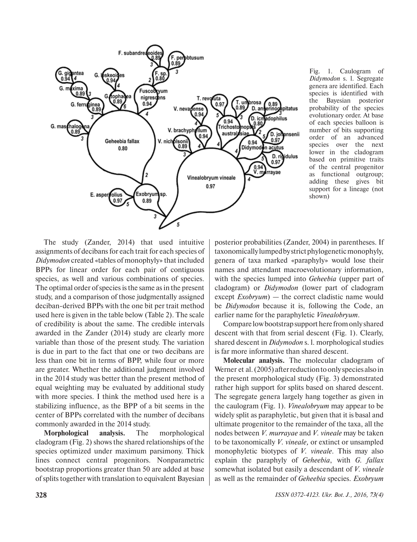

Fig. 1. Caulogram of *Didymodon* s. l. Segregate genera are identified. Each species is identified with the Bayesian posterior probability of the species evolutionary order. At base of each species balloon is number of bits supporting order of an advanced species over the next lower in the cladogram based on primitive traits of the central progenitor as functional outgroup; adding these gives bit support for a lineage (not shown)

The study (Zander, 2014) that used intuitive assignments of decibans for each trait for each species of *Didymodon* created «tables of monophyly» that included BPPs for linear order for each pair of contiguous species, as well and various combinations of species. The optimal order of species is the same as in the present study, and a comparison of those judgmentally assigned deciban-derived BPPs with the one bit per trait method used here is given in the table below (Table 2). The scale of credibility is about the same. The credible intervals awarded in the Zander (2014) study are clearly more variable than those of the present study. The variation is due in part to the fact that one or two decibans are less than one bit in terms of BPP, while four or more are greater. Whether the additional judgment involved in the 2014 study was better than the present method of equal weighting may be evaluated by additional study with more species. I think the method used here is a stabilizing influence, as the BPP of a bit seems in the center of BPPs correlated with the number of decibans commonly awarded in the 2014 study.

**Morphological analysis.** The morphological cladogram (Fig. 2) shows the shared relationships of the species optimized under maximum parsimony. Thick lines connect central progenitors. Nonparametric bootstrap proportions greater than 50 are added at base of splits together with translation to equivalent Bayesian

posterior probabilities (Zander, 2004) in parentheses. If taxonomically lumped by strict phylogenetic monophyly, genera of taxa marked «paraphyly» would lose their names and attendant macroevolutionary information, with the species lumped into *Geheebia* (upper part of cladogram) or *Didymodon* (lower part of cladogram except *Exobryum*) — the correct cladistic name would be *Didymodon* because it is, following the Code, an earlier name for the paraphyletic *Vinealobryum*.

Compare low bootstrap support here from only shared descent with that from serial descent (Fig. 1). Clearly, shared descent in *Didymodon* s. l. morphological studies is far more informative than shared descent.

**Molecular analysis.** The molecular cladogram of Werner et al. (2005) after reduction to only species also in the present morphological study (Fig. 3) demonstrated rather high support for splits based on shared descent. The segregate genera largely hang together as given in the caulogram (Fig. 1). *Vinealobryum* may appear to be widely split as paraphyletic, but given that it is basal and ultimate progenitor to the remainder of the taxa, all the nodes between *V. murrayae* and *V. vineale* may be taken to be taxonomically *V. vineale,* or extinct or unsampled monophyletic biotypes of *V. vineale*. This may also explain the paraphyly of *Geheebia*, with *G. fallax*  somewhat isolated but easily a descendant of *V. vineale*  as well as the remainder of *Geheebia* species. *Exobryum*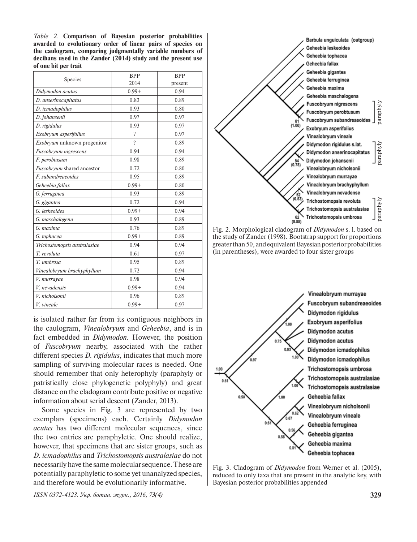*Table 2.* **Comparison of Bayesian posterior probabilities awarded to evolutionary order of linear pairs of species on the caulogram, comparing judgmentally variable numbers of decibans used in the Zander (2014) study and the present use of one bit per trait** 

| Species                            | <b>BPP</b> | <b>BPP</b> |
|------------------------------------|------------|------------|
|                                    | 2014       | present    |
| Didymodon acutus                   | $0.99 +$   | 0.94       |
| D. anserinocapitatus               | 0.83       | 0.89       |
| D. icmadophilus                    | 0.93       | 0.80       |
| D. johansenii                      | 0.97       | 0.97       |
| D. rigidulus                       | 0.93       | 0.97       |
| Exobryum asperifolius              | $\gamma$   | 0.97       |
| <i>Exobryum</i> unknown progenitor | $\gamma$   | 0.89       |
| Fuscobryum nigrescens              | 0.94       | 0.94       |
| F. perobtusum                      | 0.98       | 0.89       |
| Fuscobryum shared ancestor         | 0.72       | 0.80       |
| F. subandreaeoides                 | 0.95       | 0.89       |
| Geheebia fallax                    | $0.99 +$   | 0.80       |
| G. ferruginea                      | 0.93       | 0.89       |
| G. gigantea                        | 0.72       | 0.94       |
| G. leskeoides                      | $0.99 +$   | 0.94       |
| G. maschalogena                    | 0.93       | 0.89       |
| G. maxima                          | 0.76       | 0.89       |
| G. tophacea                        | $0.99 +$   | 0.89       |
| Trichostomopsis australasiae       | 0.94       | 0.94       |
| T. revoluta                        | 0.61       | 0.97       |
| T. umbrosa                         | 0.95       | 0.89       |
| Vinealobryum brachyphyllum         | 0.72       | 0.94       |
| V. murrayae                        | 0.98       | 0.94       |
| V. nevadensis                      | $0.99 +$   | 0.94       |
| V. nicholsonii                     | 0.96       | 0.89       |
| V. vineale                         | $0.99 +$   | 0.97       |

is isolated rather far from its contiguous neighbors in the caulogram, *Vinealobryum* and *Geheebia*, and is in fact embedded in *Didymodon.* However, the position of *Fuscobryum* nearby, associated with the rather different species *D. rigidulus*, indicates that much more sampling of surviving molecular races is needed. One should remember that only heterophyly (paraphyly or patristically close phylogenetic polyphyly) and great distance on the cladogram contribute positive or negative information about serial descent (Zander, 2013).

Some species in Fig. 3 are represented by two exemplars (specimens) each. Certainly *Didymodon acutus* has two different molecular sequences, since the two entries are paraphyletic. One should realize, however, that specimens that are sister groups, such as *D. icmadophilus* and *Trichostomopsis australasiae* do not necessarily have the same molecular sequence. These are potentially paraphyletic to some yet unanalyzed species, and therefore would be evolutionarily informative.

Barbula unguiculata (outgroup) Geheebia leskeoides Geheebia tophacea Geheebia fallax Geheebia gigantea Geheebia ferruginea Geheebia maxima Geheebia maschalogena Fuscobryum nigrescens paraphyly paraphyly paraphyly paraphyly Fuscobryum perobtusum Fuscobryum subandreaeoides  $\begin{array}{c} 81 \\ (1.00) \end{array}$ Exobryum asperifolius Vinealobryum vineale Didymodon rigidulus s.lat. vlylyaran Didymodon anserinocapitatus  $\begin{bmatrix} 54 \\ 0.78 \end{bmatrix}$ Didymodon johansenii Vinealobryum nicholsonii Vinealobryum murrayae Vinealobryum brachyphyllum Vinealobryum nevadense  $\frac{52}{(0.53)}$ Trichostomopsis revoluta Trichostomopsis australasia Trichostomopsis umbrosa  $62$  $(0.88)$ 

Fig. 2. Morphological cladogram of *Didymodon* s. l. based on the study of Zander (1998). Bootstrap support for proportions greater than 50, and equivalent Bayesian posterior probabilities (in parentheses), were awarded to four sister groups



Fig. 3. Cladogram of *Didymodon* from Werner et al. (2005), reduced to only taxa that are present in the analytic key, with Bayesian posterior probabilities appended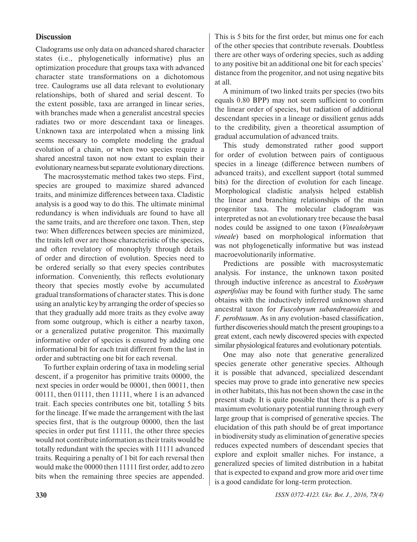# **Discussion**

Cladograms use only data on advanced shared character states (i.e., phylogenetically informative) plus an optimization procedure that groups taxa with advanced character state transformations on a dichotomous tree. Caulograms use all data relevant to evolutionary relationships, both of shared and serial descent. To the extent possible, taxa are arranged in linear series, with branches made when a generalist ancestral species radiates two or more descendant taxa or lineages. Unknown taxa are interpolated when a missing link seems necessary to complete modeling the gradual evolution of a chain, or when two species require a shared ancestral taxon not now extant to explain their evolutionary nearness but separate evolutionary directions.

The macrosystematic method takes two steps. First, species are grouped to maximize shared advanced traits, and minimize differences between taxa. Cladistic analysis is a good way to do this. The ultimate minimal redundancy is when individuals are found to have all the same traits, and are therefore one taxon. Then, step two: When differences between species are minimized, the traits left over are those characteristic of the species, and often revelatory of monophyly through details of order and direction of evolution. Species need to be ordered serially so that every species contributes information. Conveniently, this reflects evolutionary theory that species mostly evolve by accumulated gradual transformations of character states. This is done using an analytic key by arranging the order of species so that they gradually add more traits as they evolve away from some outgroup, which is either a nearby taxon, or a generalized putative progenitor. This maximally informative order of species is ensured by adding one informational bit for each trait different from the last in order and subtracting one bit for each reversal.

To further explain ordering of taxa in modeling serial descent, if a progenitor has primitive traits 00000, the next species in order would be 00001, then 00011, then 00111, then 01111, then 11111, where 1 is an advanced trait. Each species contributes one bit, totalling 5 bits for the lineage. If we made the arrangement with the last species first, that is the outgroup 00000, then the last species in order put first 11111, the other three species would not contribute information as their traits would be totally redundant with the species with 11111 advanced traits. Requiring a penalty of 1 bit for each reversal then would make the 00000 then 11111 first order, add to zero bits when the remaining three species are appended.

This is 5 bits for the first order, but minus one for each of the other species that contribute reversals. Doubtless there are other ways of ordering species, such as adding to any positive bit an additional one bit for each species' distance from the progenitor, and not using negative bits at all.

A minimum of two linked traits per species (two bits equals 0.80 BPP) may not seem sufficient to confirm the linear order of species, but radiation of additional descendant species in a lineage or dissilient genus adds to the credibility, given a theoretical assumption of gradual accumulation of advanced traits.

This study demonstrated rather good support for order of evolution between pairs of contiguous species in a lineage (difference between numbers of advanced traits), and excellent support (total summed bits) for the direction of evolution for each lineage. Morphological cladistic analysis helped establish the linear and branching relationships of the main progenitor taxa. The molecular cladogram was interpreted as not an evolutionary tree because the basal nodes could be assigned to one taxon (*Vinealobryum vineale*) based on morphological information that was not phylogenetically informative but was instead macroevolutionarily informative.

Predictions are possible with macrosystematic analysis. For instance, the unknown taxon posited through inductive inference as ancestral to *Exobryum asperifolius* may be found with further study. The same obtains with the inductively inferred unknown shared ancestral taxon for *Fuscobryum subandreaeoides* and *F. perobtusum*. As in any evolution-based classification, further discoveries should match the present groupings to a great extent, each newly discovered species with expected similar physiological features and evolutionary potentials.

One may also note that generative generalized species generate other generative species. Although it is possible that advanced, specialized descendant species may prove to grade into generative new species in other habitats, this has not been shown the case in the present study. It is quite possible that there is a path of maximum evolutionary potential running through every large group that is comprised of generative species. The elucidation of this path should be of great importance in biodiversity study as elimination of generative species reduces expected numbers of descendant species that explore and exploit smaller niches. For instance, a generalized species of limited distribution in a habitat that is expected to expand and grow more arid over time is a good candidate for long-term protection.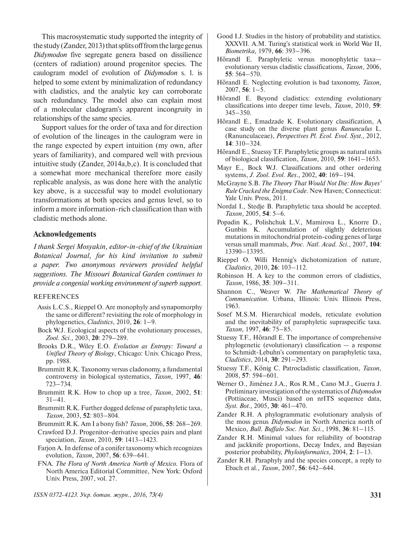This macrosystematic study supported the integrity of the study (Zander, 2013) that splits off from the large genus *Didymodon* five segregate genera based on dissilience (centers of radiation) around progenitor species. The caulogram model of evolution of *Didymodon* s. l. is helped to some extent by minimalization of redundancy with cladistics, and the analytic key can corroborate such redundancy. The model also can explain most of a molecular cladogram's apparent incongruity in relationships of the same species.

Support values for the order of taxa and for direction of evolution of the lineages in the caulogram were in the range expected by expert intuition (my own, after years of familiarity), and compared well with previous intuitive study (Zander, 2014a,b,c). It is concluded that a somewhat more mechanical therefore more easily replicable analysis, as was done here with the analytic key above, is a successful way to model evolutionary transformations at both species and genus level, so to inform a more information-rich classification than with cladistic methods alone.

## **Acknowledgements**

*I thank Sergei Mosyakin, editor-in-chief of the Ukrainian Botanical Journal, for his kind invitation to submit a paper. Two anonymous reviewers provided helpful suggestions. The Missouri Botanical Garden continues to provide a congenial working environment of superb support.*

#### REFERENCES

- Assis L.C.S., Rieppel O. Are monophyly and synapomorphy the same or different? revisiting the role of morphology in phylogenetics, *Cladistics*, 2010, **26**: 1–9.
- Bock W.J. Ecological aspects of the evolutionary processes, *Zool. Sci.,* 2003, **20**: 279–289.
- Brooks D.R., Wiley E.O. *Evolution as Entropy: Toward a Unified Theory of Biology*, Chicago: Univ. Chicago Press, pp. 1988.
- Brummitt R.K. Taxonomy versus cladonomy, a fundamental controversy in biological systematics, *Taxon,* 1997, **46**: 723–734.
- Brummitt R.K. How to chop up a tree, *Taxon*, 2002, **51**: 31–41.
- Brummitt R.K. Further dogged defense of paraphyletic taxa, *Taxon*, 2003, **52**: 803–804.
- Brummitt R.K. Am I a bony fish? *Taxon,* 2006, **55**: 268–269.
- Crawford D.J. Progenitor-derivative species pairs and plant speciation, *Taxon*, 2010, **59**: 1413–1423.
- Farjon A. In defense of a conifer taxonomy which recognizes evolution, *Taxon,* 2007, **56**: 639–641.
- FNA. *The Flora of North America North of Mexico.* Flora of North America Editorial Committee, New York: Oxford Univ. Press, 2007, vol. 27.
- Good I.J. Studies in the history of probability and statistics. XXXVII. A.M. Turing's statistical work in World War II, *Biometrika,* 1979, **66**: 393–396.
- Hörandl E. Paraphyletic versus monophyletic taxa evolutionary versus cladistic classifications, *Taxon*, 2006, **55**: 564–570.
- Hörandl E. Neglecting evolution is bad taxonomy, *Taxon,*  2007, **56**: 1–5.
- Hörandl E. Beyond cladistics: extending evolutionary classifications into deeper time levels, *Taxon*, 2010, **59**: 345–350.
- Hörandl E., Emadzade K. Evolutionary classification, A case study on the diverse plant genus *Ranunculus* L. (Ranunculaceae), *Perspectives Pl. Ecol. Evol. Syst.,* 2012, **14**: 310–324.
- Hörandl E., Stuessy T.F. Paraphyletic groups as natural units of biological classification, *Taxon*, 2010, **59**: 1641–1653.
- Mayr E., Bock W.J. Classifications and other ordering systems, *J. Zool. Evol. Res*., 2002, **40**: 169–194.
- McGrayne S.B. *The Theory That Would Not Die: How Bayes' Rule Cracked the Enigma Code.* New Haven; Connecticut: Yale Univ. Press, 2011.
- Nordal I., Stedje B. Paraphyletic taxa should be accepted. *Taxon*, 2005, **54**: 5–6.
- Popadin K., Polishchuk L.V., Mamirova L., Knorre D., Gunbin K. Accumulation of slightly deleterious mutations in mitochondrial protein-coding genes of large versus small mammals, *Proc. Natl. Acad. Sci.*, 2007, **104**: 13390–13395.
- Rieppel O. Willi Hennig's dichotomization of nature, *Cladistics*, 2010, **26**: 103–112.
- Robinson H. A key to the common errors of cladistics, *Taxon,* 1986, **35**: 309–311.
- Shannon C., Weaver W. *The Mathematical Theory of Communication.* Urbana, Illinois: Univ. Illinois Press, 1963.
- Sosef M.S.M. Hierarchical models, reticulate evolution and the inevitability of paraphyletic supraspecific taxa. *Taxon,* 1997, **46**: 75–85.
- Stuessy T.F., Hörandl E. The importance of comprehensive phylogenetic (evolutionary) classification — a response to Schmidt-Lebuhn's commentary on paraphyletic taxa, *Cladistics*, 2014, **30**: 291–293.
- Stuessy T.F., König C. Patrocladistic classification, *Taxon,* 2008, **57**: 594–601.
- Werner O., Jiménez J.A., Ros R.M., Cano M.J., Guerra J. Preliminary investigation of the systematics of *Didymodon* (Pottiaceae, Musci) based on nrITS sequence data, *Syst. Bot.,* 2005, **30**: 461–470.
- Zander R.H. A phylogrammatic evolutionary analysis of the moss genus *Didymodon* in North America north of Mexico, *Bull. Buffalo Soc. Nat. Sci.*, 1998, **36**: 81–115.
- Zander R.H. Minimal values for reliability of bootstrap and jackknife proportions, Decay Index, and Bayesian posterior probability, *Phyloinformatics*, 2004, **2**: 1–13.
- Zander R.H. Paraphyly and the species concept, a reply to Ebach et al., *Taxon*, 2007, **56**: 642–644.